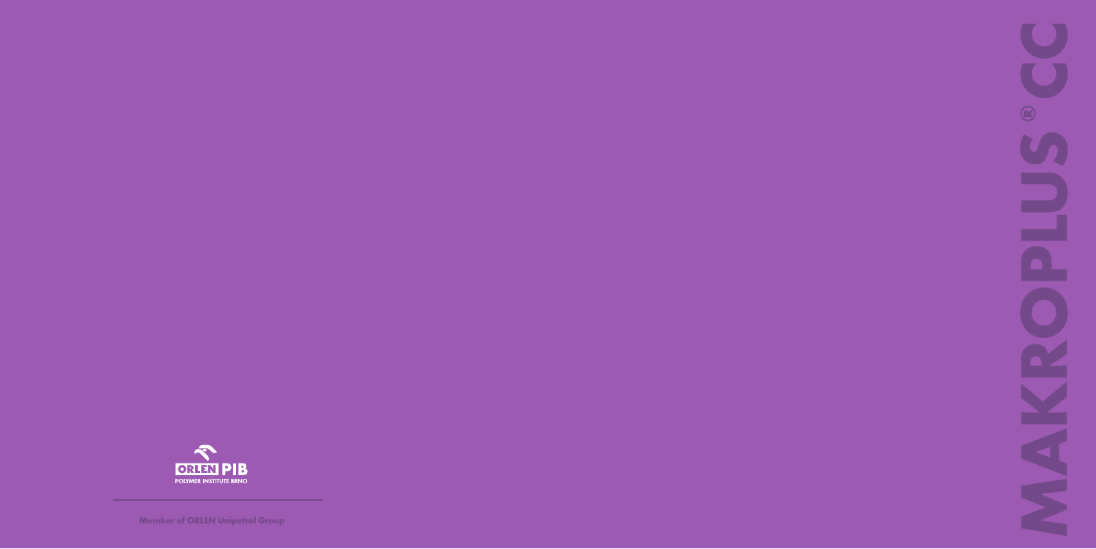

**Member of ORLEN Unipetrol Group**

**MAKROPLUS ® CC** ▄ S S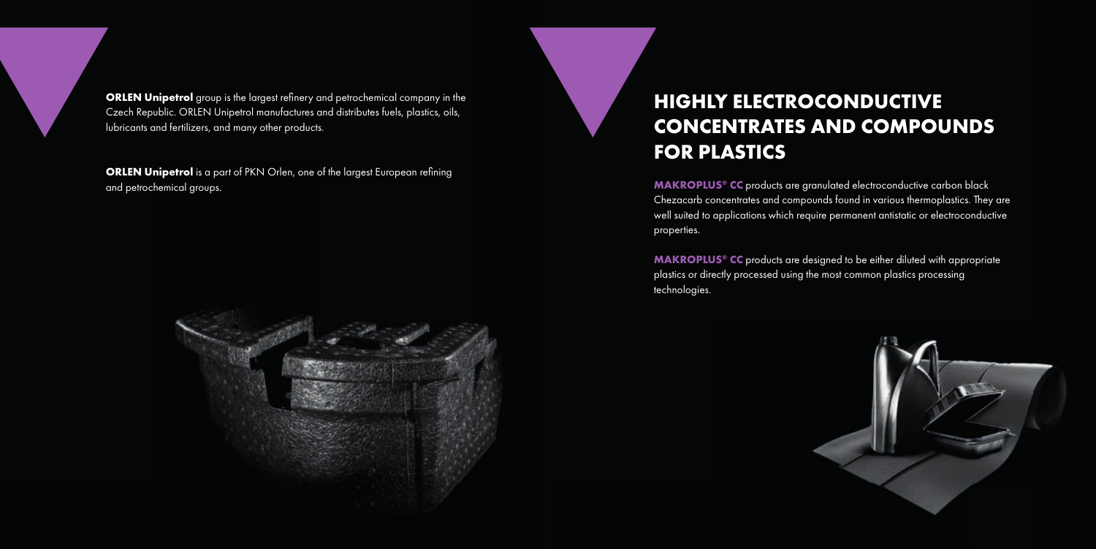**ORLEN Unipetrol** group is the largest refinery and petrochemical company in the Czech Republic. ORLEN Unipetrol manufactures and distributes fuels, plastics, oils, lubricants and fertilizers, and many other products.

**ORLEN Unipetrol** is a part of PKN Orlen, one of the largest European refining and petrochemical groups.



**MAKROPLUS® CC** products are granulated electroconductive carbon black Chezacarb concentrates and compounds found in various thermoplastics. They are well suited to applications which require permanent antistatic or electroconductive properties.

## **HIGHLY ELECTROCONDUCTIVE CONCENTRATES AND COMPOUNDS FOR PLASTICS**

**MAKROPLUS® CC** products are designed to be either diluted with appropriate plastics or directly processed using the most common plastics processing technologies.

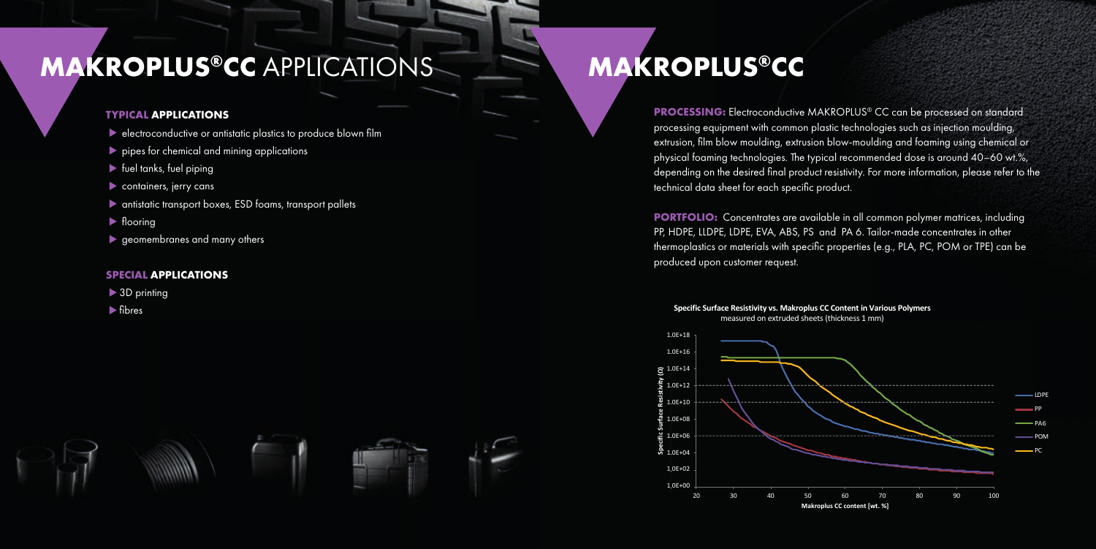



- $\blacktriangleright$  electroconductive or antistatic plastics to produce blown film
- pipes for chemical and mining applications
- $\blacktriangleright$  fuel tanks, fuel piping
- containers, jerry cans
- antistatic transport boxes, ESD foams, transport pallets
- $\blacktriangleright$  flooring
- geomembranes and many others

**PROCESSING:** Electroconductive MAKROPLUS® CC can be processed on standard processing equipment with common plastic technologies such as injection moulding, extrusion, film blow moulding, extrusion blow-moulding and foaming using chemical or physical foaming technologies. The typical recommended dose is around 40–60 wt.%, depending on the desired final product resistivity. For more information, please refer to the technical data sheet for each specific product.

# **MAKROPLUS®CC** APPLICATIONS MAKROPLUS®CC

## **TYPICAL APPLICATIONS**

## **SPECIAL APPLICATIONS**

- ▶ 3D printing
- $\blacktriangleright$  fibres



**PORTFOLIO:** Concentrates are available in all common polymer matrices, including PP, HDPE, LLDPE, LDPE, EVA, ABS, PS and PA 6. Tailor-made concentrates in other thermoplastics or materials with specific properties (e.g., PLA, PC, POM or TPE) can be produced upon customer request.